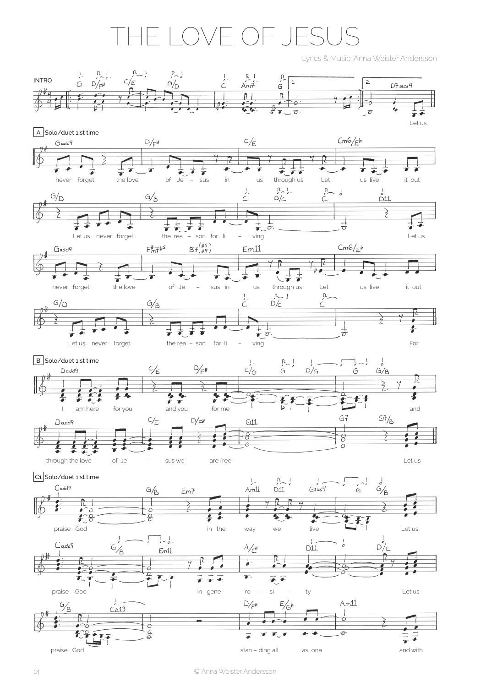## THe Love oF JesUs

Lyrics & Music: Anna Weister Andersson